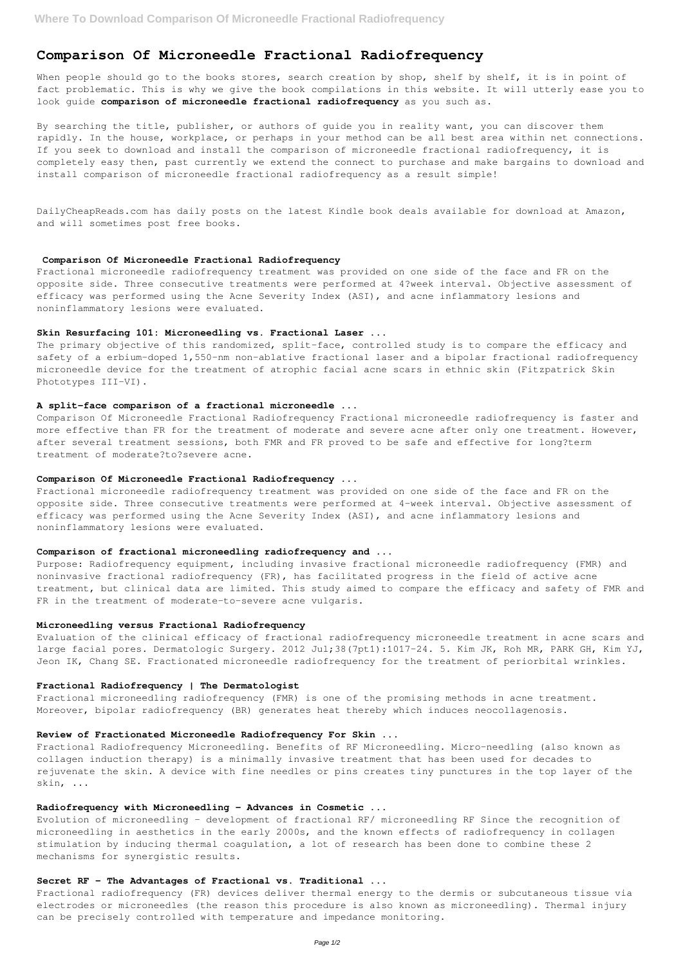# **Comparison Of Microneedle Fractional Radiofrequency**

When people should go to the books stores, search creation by shop, shelf by shelf, it is in point of fact problematic. This is why we give the book compilations in this website. It will utterly ease you to look guide **comparison of microneedle fractional radiofrequency** as you such as.

By searching the title, publisher, or authors of guide you in reality want, you can discover them rapidly. In the house, workplace, or perhaps in your method can be all best area within net connections. If you seek to download and install the comparison of microneedle fractional radiofrequency, it is completely easy then, past currently we extend the connect to purchase and make bargains to download and install comparison of microneedle fractional radiofrequency as a result simple!

The primary objective of this randomized, split-face, controlled study is to compare the efficacy and safety of a erbium-doped 1,550-nm non-ablative fractional laser and a bipolar fractional radiofrequency microneedle device for the treatment of atrophic facial acne scars in ethnic skin (Fitzpatrick Skin Phototypes III-VI).

DailyCheapReads.com has daily posts on the latest Kindle book deals available for download at Amazon, and will sometimes post free books.

#### **Comparison Of Microneedle Fractional Radiofrequency**

Fractional microneedle radiofrequency treatment was provided on one side of the face and FR on the opposite side. Three consecutive treatments were performed at 4?week interval. Objective assessment of efficacy was performed using the Acne Severity Index (ASI), and acne inflammatory lesions and noninflammatory lesions were evaluated.

#### **Skin Resurfacing 101: Microneedling vs. Fractional Laser ...**

Evaluation of the clinical efficacy of fractional radiofrequency microneedle treatment in acne scars and large facial pores. Dermatologic Surgery. 2012 Jul;38(7pt1):1017-24. 5. Kim JK, Roh MR, PARK GH, Kim YJ, Jeon IK, Chang SE. Fractionated microneedle radiofrequency for the treatment of periorbital wrinkles.

#### **A split-face comparison of a fractional microneedle ...**

Comparison Of Microneedle Fractional Radiofrequency Fractional microneedle radiofrequency is faster and more effective than FR for the treatment of moderate and severe acne after only one treatment. However, after several treatment sessions, both FMR and FR proved to be safe and effective for long?term treatment of moderate?to?severe acne.

#### **Comparison Of Microneedle Fractional Radiofrequency ...**

Fractional microneedle radiofrequency treatment was provided on one side of the face and FR on the opposite side. Three consecutive treatments were performed at 4-week interval. Objective assessment of efficacy was performed using the Acne Severity Index (ASI), and acne inflammatory lesions and noninflammatory lesions were evaluated.

#### **Comparison of fractional microneedling radiofrequency and ...**

Purpose: Radiofrequency equipment, including invasive fractional microneedle radiofrequency (FMR) and noninvasive fractional radiofrequency (FR), has facilitated progress in the field of active acne treatment, but clinical data are limited. This study aimed to compare the efficacy and safety of FMR and FR in the treatment of moderate-to-severe acne vulgaris.

#### **Microneedling versus Fractional Radiofrequency**

#### **Fractional Radiofrequency | The Dermatologist**

Fractional microneedling radiofrequency (FMR) is one of the promising methods in acne treatment. Moreover, bipolar radiofrequency (BR) generates heat thereby which induces neocollagenosis.

## **Review of Fractionated Microneedle Radiofrequency For Skin ...**

Fractional Radiofrequency Microneedling. Benefits of RF Microneedling. Micro-needling (also known as collagen induction therapy) is a minimally invasive treatment that has been used for decades to rejuvenate the skin. A device with fine needles or pins creates tiny punctures in the top layer of the skin, ...

### **Radiofrequency with Microneedling - Advances in Cosmetic ...**

Evolution of microneedling – development of fractional RF/ microneedling RF Since the recognition of microneedling in aesthetics in the early 2000s, and the known effects of radiofrequency in collagen stimulation by inducing thermal coagulation, a lot of research has been done to combine these 2 mechanisms for synergistic results.

### **Secret RF - The Advantages of Fractional vs. Traditional ...**

Fractional radiofrequency (FR) devices deliver thermal energy to the dermis or subcutaneous tissue via electrodes or microneedles (the reason this procedure is also known as microneedling). Thermal injury can be precisely controlled with temperature and impedance monitoring.